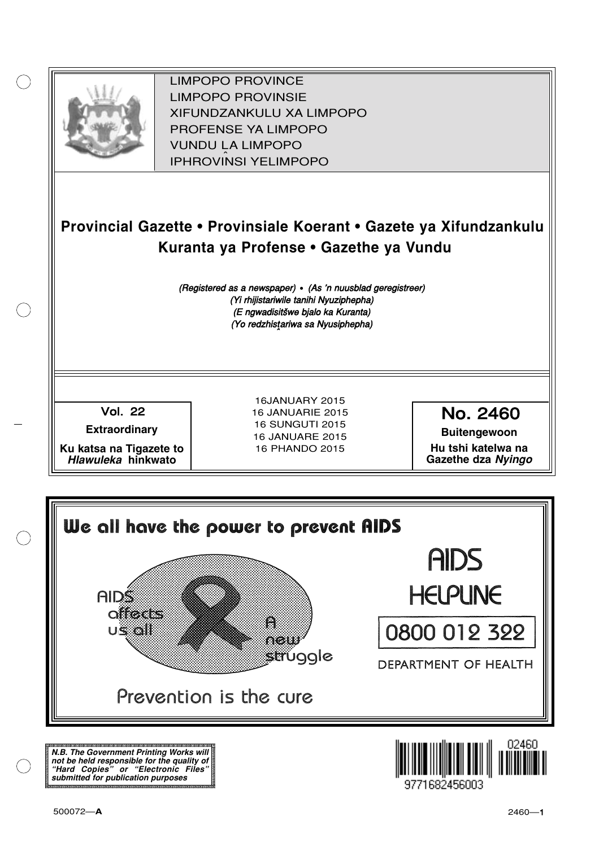

XIFUNDZANKULU XA LIMPOPO<br>PROFENCE XA LIMPORO PROFENSE YA LIMPOPO<br>WILDOLLA LIMPORO SOUTH A LIMPOPO<br>A LIPHROVINSI YELIMPOPO LIMPOPO PROVINCE LIMPOPO PROVINSIE IPHROVINSI YELIMPOPO

# **Provincial Gazette • Provinsiale Koerant • Gazete ya Xifundzankulu Kuranta ya Profense • Gazethe ya Vundu**

(Registered as a newspaper) • (As 'n nuusblad geregistreer) (Yi rhijistariwile tanihi Nyuziphepha) (E ngwadisitšwe bjalo ka Kuranta) (Yo redzhistariwa sa Nyusiphepha)

Vol.- 22

**Extraordinary**

**Ku katsa na Tigazete to Hlawuleka hinkwato**

16JANUARY 2015 16 JANUARIE 2015 16 SUNGUTI 2015 16 JANUARE 2015 16 PHANDO 2015

No. 2460

**Buitengewoon Hu tshi katelwa na Gazethe dza Nyingo**



**N.B. The Government Printing Works will not be held responsible for the quality of "Hard Copies" or "Electronic Files" submitted for publication purposes**